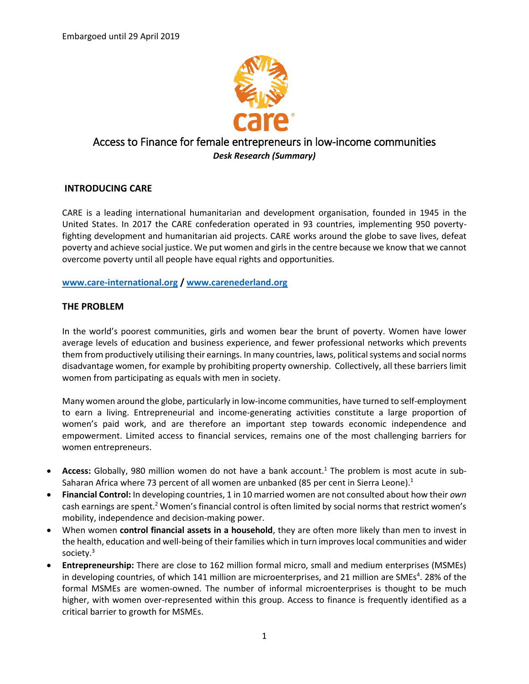

# Access to Finance for female entrepreneurs in low-income communities *Desk Research (Summary)*

# **INTRODUCING CARE**

CARE is a leading international humanitarian and development organisation, founded in 1945 in the United States. In 2017 the CARE confederation operated in 93 countries, implementing 950 povertyfighting development and humanitarian aid projects. CARE works around the globe to save lives, defeat poverty and achieve social justice. We put women and girls in the centre because we know that we cannot overcome poverty until all people have equal rights and opportunities.

### **[www.care-international.org](http://www.care-international.org/) / [www.carenederland.org](http://www.carenederland.org/)**

# **THE PROBLEM**

In the world's poorest communities, girls and women bear the brunt of poverty. Women have lower average levels of education and business experience, and fewer professional networks which prevents them from productively utilising their earnings. In many countries, laws, political systems and social norms disadvantage women, for example by prohibiting property ownership. Collectively, all these barriers limit women from participating as equals with men in society.

Many women around the globe, particularly in low-income communities, have turned to self-employment to earn a living. Entrepreneurial and income-generating activities constitute a large proportion of women's paid work, and are therefore an important step towards economic independence and empowerment. Limited access to financial services, remains one of the most challenging barriers for women entrepreneurs.

- **Access:** Globally, 980 million women do not have a bank account. <sup>1</sup> The problem is most acute in sub-Saharan Africa where 73 percent of all women are unbanked (85 per cent in Sierra Leone).<sup>1</sup>
- **Financial Control:** In developing countries, 1 in 10 married women are not consulted about how their *own* cash earnings are spent.<sup>2</sup> Women's financial control is often limited by social norms that restrict women's mobility, independence and decision-making power.
- When women **control financial assets in a household**, they are often more likely than men to invest in the health, education and well-being of their families which in turn improves local communities and wider society. 3
- **Entrepreneurship:** There are close to 162 million formal micro, small and medium enterprises (MSMEs) in developing countries, of which 141 million are microenterprises, and 21 million are SMEs<sup>4</sup>. 28% of the formal MSMEs are women-owned. The number of informal microenterprises is thought to be much higher, with women over-represented within this group. Access to finance is frequently identified as a critical barrier to growth for MSMEs.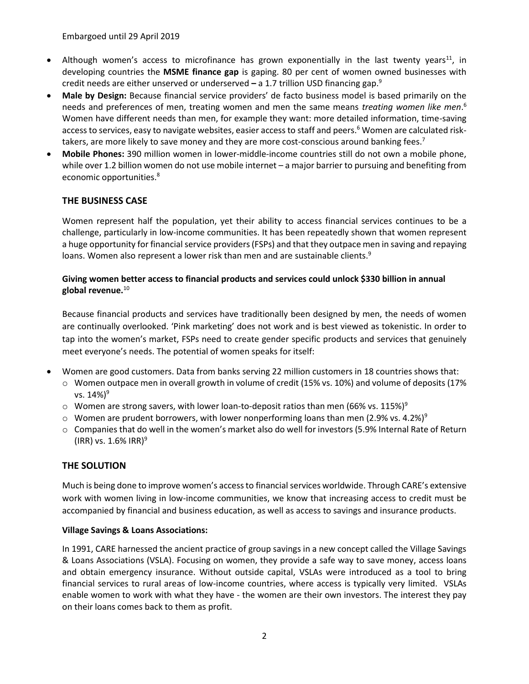Embargoed until 29 April 2019

- Although women's access to microfinance has grown exponentially in the last twenty years<sup>11</sup>, in developing countries the **MSME finance gap** is gaping. 80 per cent of women owned businesses with credit needs are either unserved or underserved **–** a 1.7 trillion USD financing gap.<sup>9</sup>
- **Male by Design:** Because financial service providers' de facto business model is based primarily on the needs and preferences of men, treating women and men the same means *treating women like men*. 6 Women have different needs than men, for example they want: more detailed information, time-saving access to services, easy to navigate websites, easier access to staff and peers.<sup>6</sup> Women are calculated risktakers, are more likely to save money and they are more cost-conscious around banking fees.<sup>7</sup>
- **Mobile Phones:** 390 million women in lower-middle-income countries still do not own a mobile phone, while over 1.2 billion women do not use mobile internet – a major barrier to pursuing and benefiting from economic opportunities. 8

### **THE BUSINESS CASE**

Women represent half the population, yet their ability to access financial services continues to be a challenge, particularly in low-income communities. It has been repeatedly shown that women represent a huge opportunity for financial service providers(FSPs) and that they outpace men in saving and repaying loans. Women also represent a lower risk than men and are sustainable clients.<sup>9</sup>

### **Giving women better access to financial products and services could unlock \$330 billion in annual global revenue.**<sup>10</sup>

Because financial products and services have traditionally been designed by men, the needs of women are continually overlooked. 'Pink marketing' does not work and is best viewed as tokenistic. In order to tap into the women's market, FSPs need to create gender specific products and services that genuinely meet everyone's needs. The potential of women speaks for itself:

- Women are good customers. Data from banks serving 22 million customers in 18 countries shows that:
	- o Women outpace men in overall growth in volume of credit (15% vs. 10%) and volume of deposits (17% vs.  $14\%)^9$
	- $\circ$  Women are strong savers, with lower loan-to-deposit ratios than men (66% vs. 115%)<sup>9</sup>
	- $\circ$  Women are prudent borrowers, with lower nonperforming loans than men (2.9% vs. 4.2%)<sup>9</sup>
	- o Companies that do well in the women's market also do well for investors (5.9% Internal Rate of Return (IRR) vs.  $1.6\%$  IRR)<sup>9</sup>

# **THE SOLUTION**

Much is being done to improve women's accessto financial services worldwide. Through CARE's extensive work with women living in low-income communities, we know that increasing access to credit must be accompanied by financial and business education, as well as access to savings and insurance products.

#### **Village Savings & Loans Associations:**

In 1991, CARE harnessed the ancient practice of group savings in a new concept called the Village Savings & Loans Associations (VSLA). Focusing on women, they provide a safe way to save money, access loans and obtain emergency insurance. Without outside capital, VSLAs were introduced as a tool to bring financial services to rural areas of low-income countries, where access is typically very limited. VSLAs enable women to work with what they have - the women are their own investors. The interest they pay on their loans comes back to them as profit.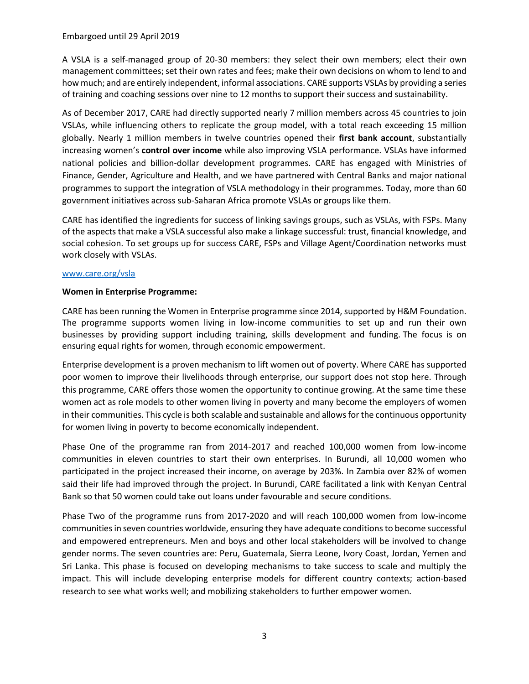A VSLA is a self-managed group of 20-30 members: they select their own members; elect their own management committees; set their own rates and fees; make their own decisions on whom to lend to and how much; and are entirely independent, informal associations. CARE supports VSLAs by providing a series of training and coaching sessions over nine to 12 months to support their success and sustainability.

As of December 2017, CARE had directly supported nearly 7 million members across 45 countries to join VSLAs, while influencing others to replicate the group model, with a total reach exceeding 15 million globally. Nearly 1 million members in twelve countries opened their **first bank account**, substantially increasing women's **control over income** while also improving VSLA performance. VSLAs have informed national policies and billion-dollar development programmes. CARE has engaged with Ministries of Finance, Gender, Agriculture and Health, and we have partnered with Central Banks and major national programmes to support the integration of VSLA methodology in their programmes. Today, more than 60 government initiatives across sub-Saharan Africa promote VSLAs or groups like them.

CARE has identified the ingredients for success of linking savings groups, such as VSLAs, with FSPs. Many of the aspects that make a VSLA successful also make a linkage successful: trust, financial knowledge, and social cohesion. To set groups up for success CARE, FSPs and Village Agent/Coordination networks must work closely with VSLAs.

#### [www.care.org/vsla](http://www.care.org/vsla)

#### **Women in Enterprise Programme:**

CARE has been running the Women in Enterprise programme since 2014, supported by H&M Foundation. The programme supports women living in low-income communities to set up and run their own businesses by providing support including training, skills development and funding. The focus is on ensuring equal rights for women, through economic empowerment.

Enterprise development is a proven mechanism to lift women out of poverty. Where CARE has supported poor women to improve their livelihoods through enterprise, our support does not stop here. Through this programme, CARE offers those women the opportunity to continue growing. At the same time these women act as role models to other women living in poverty and many become the employers of women in their communities. This cycle is both scalable and sustainable and allows for the continuous opportunity for women living in poverty to become economically independent.

Phase One of the programme ran from 2014-2017 and reached 100,000 women from low-income communities in eleven countries to start their own enterprises. In Burundi, all 10,000 women who participated in the project increased their income, on average by 203%. In Zambia over 82% of women said their life had improved through the project. In Burundi, CARE facilitated a link with Kenyan Central Bank so that 50 women could take out loans under favourable and secure conditions.

Phase Two of the programme runs from 2017-2020 and will reach 100,000 women from low-income communities in seven countries worldwide, ensuring they have adequate conditions to become successful and empowered entrepreneurs. Men and boys and other local stakeholders will be involved to change gender norms. The seven countries are: Peru, Guatemala, Sierra Leone, Ivory Coast, Jordan, Yemen and Sri Lanka. This phase is focused on developing mechanisms to take success to scale and multiply the impact. This will include developing enterprise models for different country contexts; action-based research to see what works well; and mobilizing stakeholders to further empower women.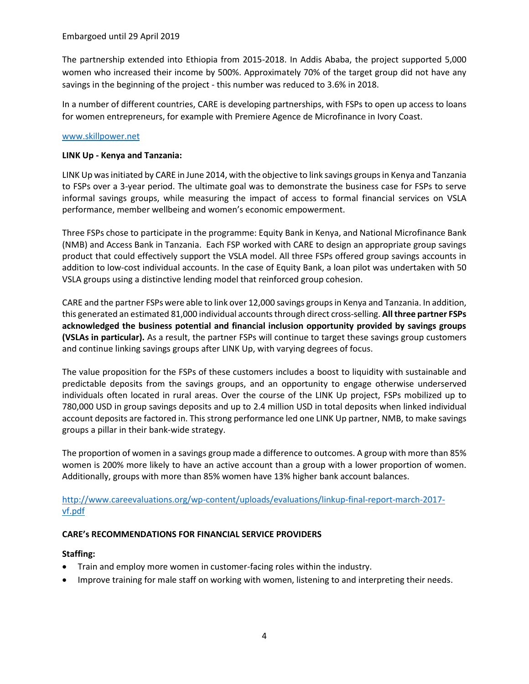The partnership extended into Ethiopia from 2015-2018. In Addis Ababa, the project supported 5,000 women who increased their income by 500%. Approximately 70% of the target group did not have any savings in the beginning of the project - this number was reduced to 3.6% in 2018.

In a number of different countries, CARE is developing partnerships, with FSPs to open up access to loans for women entrepreneurs, for example with Premiere Agence de Microfinance in Ivory Coast.

#### [www.skillpower.net](http://www.skillpower.net/)

### **LINK Up - Kenya and Tanzania:**

LINK Up was initiated by CARE in June 2014, with the objective to link savings groups in Kenya and Tanzania to FSPs over a 3-year period. The ultimate goal was to demonstrate the business case for FSPs to serve informal savings groups, while measuring the impact of access to formal financial services on VSLA performance, member wellbeing and women's economic empowerment.

Three FSPs chose to participate in the programme: Equity Bank in Kenya, and National Microfinance Bank (NMB) and Access Bank in Tanzania. Each FSP worked with CARE to design an appropriate group savings product that could effectively support the VSLA model. All three FSPs offered group savings accounts in addition to low-cost individual accounts. In the case of Equity Bank, a loan pilot was undertaken with 50 VSLA groups using a distinctive lending model that reinforced group cohesion.

CARE and the partner FSPs were able to link over 12,000 savings groups in Kenya and Tanzania. In addition, this generated an estimated 81,000 individual accounts through direct cross-selling. **All three partner FSPs acknowledged the business potential and financial inclusion opportunity provided by savings groups (VSLAs in particular).** As a result, the partner FSPs will continue to target these savings group customers and continue linking savings groups after LINK Up, with varying degrees of focus.

The value proposition for the FSPs of these customers includes a boost to liquidity with sustainable and predictable deposits from the savings groups, and an opportunity to engage otherwise underserved individuals often located in rural areas. Over the course of the LINK Up project, FSPs mobilized up to 780,000 USD in group savings deposits and up to 2.4 million USD in total deposits when linked individual account deposits are factored in. This strong performance led one LINK Up partner, NMB, to make savings groups a pillar in their bank-wide strategy.

The proportion of women in a savings group made a difference to outcomes. A group with more than 85% women is 200% more likely to have an active account than a group with a lower proportion of women. Additionally, groups with more than 85% women have 13% higher bank account balances.

# [http://www.careevaluations.org/wp-content/uploads/evaluations/linkup-final-report-march-2017](http://www.careevaluations.org/wp-content/uploads/evaluations/linkup-final-report-march-2017-vf.pdf) [vf.pdf](http://www.careevaluations.org/wp-content/uploads/evaluations/linkup-final-report-march-2017-vf.pdf)

# **CARE's RECOMMENDATIONS FOR FINANCIAL SERVICE PROVIDERS**

# **Staffing:**

- Train and employ more women in customer-facing roles within the industry.
- Improve training for male staff on working with women, listening to and interpreting their needs.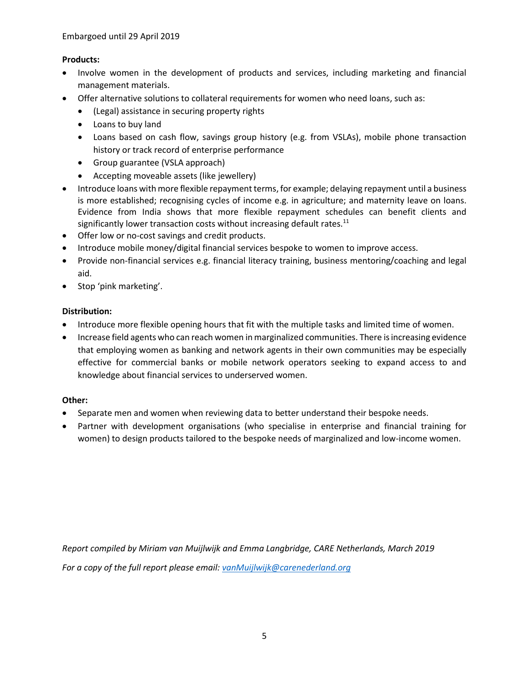### **Products:**

- Involve women in the development of products and services, including marketing and financial management materials.
- Offer alternative solutions to collateral requirements for women who need loans, such as:
	- (Legal) assistance in securing property rights
	- Loans to buy land
	- Loans based on cash flow, savings group history (e.g. from VSLAs), mobile phone transaction history or track record of enterprise performance
	- Group guarantee (VSLA approach)
	- Accepting moveable assets (like jewellery)
- Introduce loans with more flexible repayment terms, for example; delaying repayment until a business is more established; recognising cycles of income e.g. in agriculture; and maternity leave on loans. Evidence from India shows that more flexible repayment schedules can benefit clients and significantly lower transaction costs without increasing default rates. $11$
- Offer low or no-cost savings and credit products.
- Introduce mobile money/digital financial services bespoke to women to improve access.
- Provide non-financial services e.g. financial literacy training, business mentoring/coaching and legal aid.
- Stop 'pink marketing'.

#### **Distribution:**

- Introduce more flexible opening hours that fit with the multiple tasks and limited time of women.
- Increase field agents who can reach women in marginalized communities. There is increasing evidence that employing women as banking and network agents in their own communities may be especially effective for commercial banks or mobile network operators seeking to expand access to and knowledge about financial services to underserved women.

#### **Other:**

- Separate men and women when reviewing data to better understand their bespoke needs.
- Partner with development organisations (who specialise in enterprise and financial training for women) to design products tailored to the bespoke needs of marginalized and low-income women.

*Report compiled by Miriam van Muijlwijk and Emma Langbridge, CARE Netherlands, March 2019 For a copy of the full report please email: [vanMuijlwijk@carenederland.org](mailto:vanMuijlwijk@carenederland.org)*